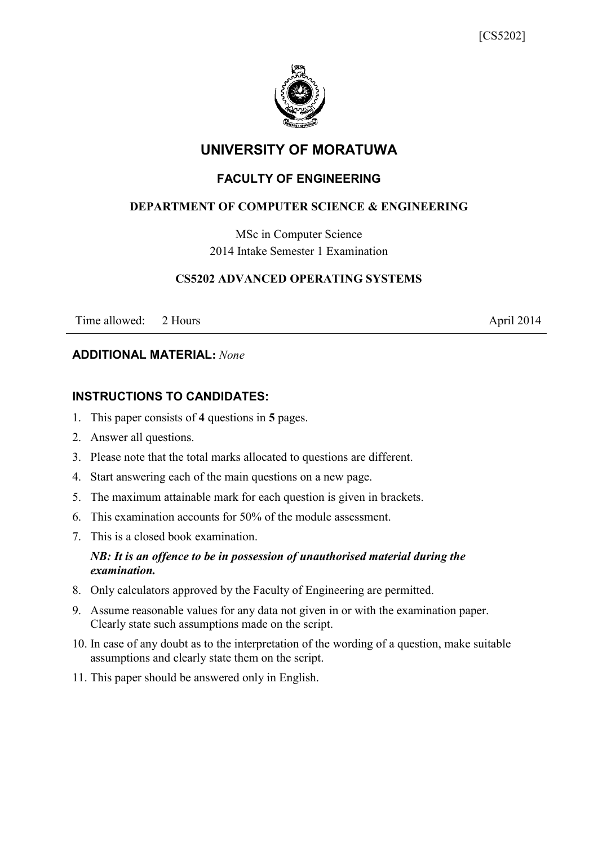

# **UNIVERSITY OF MORATUWA**

# **FACULTY OF ENGINEERING**

## **DEPARTMENT OF COMPUTER SCIENCE & ENGINEERING**

MSc in Computer Science 2014 Intake Semester 1 Examination

### **CS5202 ADVANCED OPERATING SYSTEMS**

Time allowed: 2 Hours April 2014

### **ADDITIONAL MATERIAL:** *None*

# **INSTRUCTIONS TO CANDIDATES:**

- 1. This paper consists of **4** questions in **5** pages.
- 2. Answer all questions.
- 3. Please note that the total marks allocated to questions are different.
- 4. Start answering each of the main questions on a new page.
- 5. The maximum attainable mark for each question is given in brackets.
- 6. This examination accounts for 50% of the module assessment.
- 7. This is a closed book examination.

### *NB: It is an offence to be in possession of unauthorised material during the examination.*

- 8. Only calculators approved by the Faculty of Engineering are permitted.
- 9. Assume reasonable values for any data not given in or with the examination paper. Clearly state such assumptions made on the script.
- 10. In case of any doubt as to the interpretation of the wording of a question, make suitable assumptions and clearly state them on the script.
- 11. This paper should be answered only in English.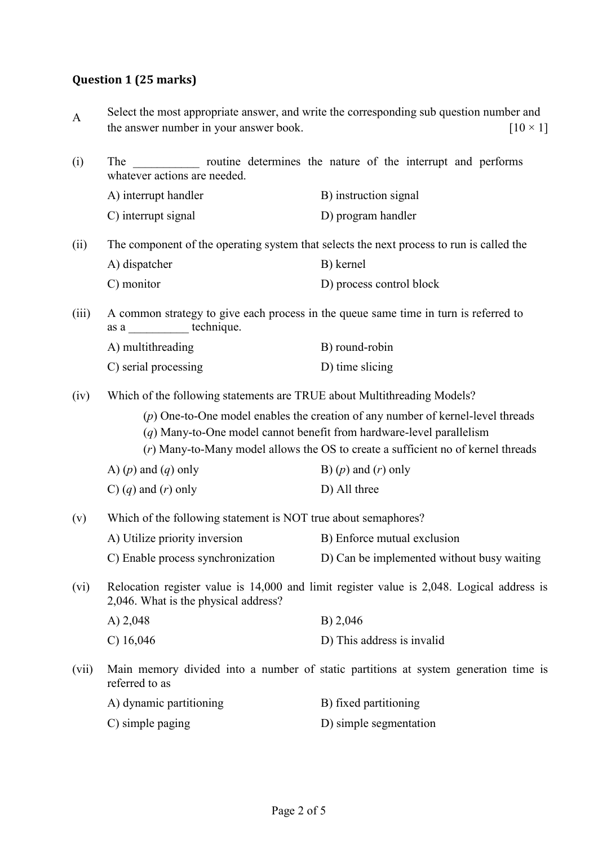# **Question 1 (25 marks)**

| $\mathbf{A}$ | the answer number in your answer book.                                                                                                                                                                                                          | Select the most appropriate answer, and write the corresponding sub question number and<br>$[10 \times 1]$ |  |  |
|--------------|-------------------------------------------------------------------------------------------------------------------------------------------------------------------------------------------------------------------------------------------------|------------------------------------------------------------------------------------------------------------|--|--|
| (i)          | routine determines the nature of the interrupt and performs<br>The<br>whatever actions are needed.                                                                                                                                              |                                                                                                            |  |  |
|              | A) interrupt handler                                                                                                                                                                                                                            | B) instruction signal                                                                                      |  |  |
|              | C) interrupt signal                                                                                                                                                                                                                             | D) program handler                                                                                         |  |  |
| (ii)         | The component of the operating system that selects the next process to run is called the                                                                                                                                                        |                                                                                                            |  |  |
|              | A) dispatcher                                                                                                                                                                                                                                   | B) kernel                                                                                                  |  |  |
|              | C) monitor                                                                                                                                                                                                                                      | D) process control block                                                                                   |  |  |
| (iii)        | A common strategy to give each process in the queue same time in turn is referred to<br>as a technique.                                                                                                                                         |                                                                                                            |  |  |
|              | A) multithreading                                                                                                                                                                                                                               | B) round-robin                                                                                             |  |  |
|              | C) serial processing                                                                                                                                                                                                                            | D) time slicing                                                                                            |  |  |
| (iv)         | Which of the following statements are TRUE about Multithreading Models?                                                                                                                                                                         |                                                                                                            |  |  |
|              | $(p)$ One-to-One model enables the creation of any number of kernel-level threads<br>$(q)$ Many-to-One model cannot benefit from hardware-level parallelism<br>(r) Many-to-Many model allows the OS to create a sufficient no of kernel threads |                                                                                                            |  |  |
|              | A) $(p)$ and $(q)$ only                                                                                                                                                                                                                         | B) $(p)$ and $(r)$ only                                                                                    |  |  |
|              | C) $(q)$ and $(r)$ only                                                                                                                                                                                                                         | D) All three                                                                                               |  |  |
| (v)          | Which of the following statement is NOT true about semaphores?                                                                                                                                                                                  |                                                                                                            |  |  |
|              | A) Utilize priority inversion                                                                                                                                                                                                                   | B) Enforce mutual exclusion                                                                                |  |  |
|              | C) Enable process synchronization                                                                                                                                                                                                               | D) Can be implemented without busy waiting                                                                 |  |  |
| (vi)         | Relocation register value is 14,000 and limit register value is 2,048. Logical address is<br>2,046. What is the physical address?                                                                                                               |                                                                                                            |  |  |
|              | A) $2,048$                                                                                                                                                                                                                                      | B) 2,046                                                                                                   |  |  |
|              | $C)$ 16,046                                                                                                                                                                                                                                     | D) This address is invalid                                                                                 |  |  |
| (vii)        | Main memory divided into a number of static partitions at system generation time is<br>referred to as                                                                                                                                           |                                                                                                            |  |  |
|              | A) dynamic partitioning                                                                                                                                                                                                                         | B) fixed partitioning                                                                                      |  |  |
|              | C) simple paging                                                                                                                                                                                                                                | D) simple segmentation                                                                                     |  |  |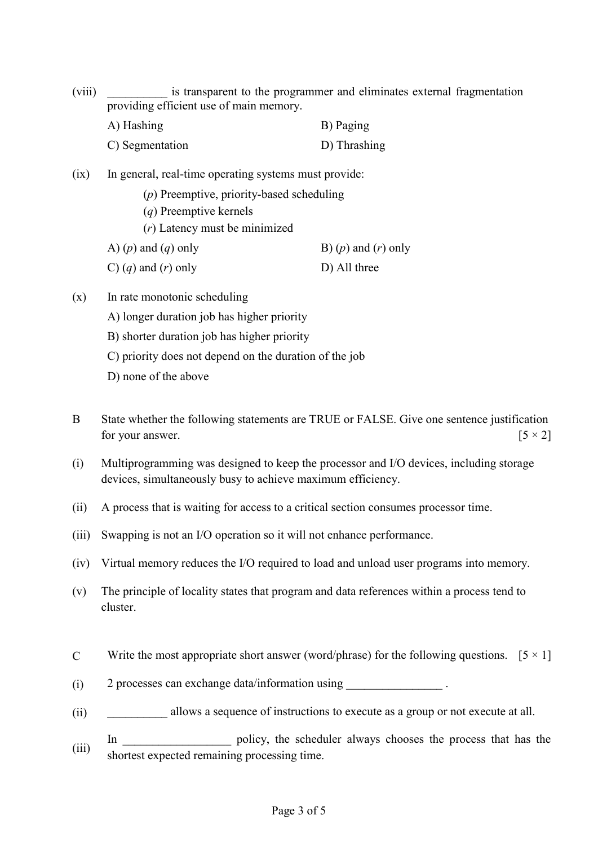(viii) is transparent to the programmer and eliminates external fragmentation providing efficient use of main memory.

| A) Hashing      | B) Paging    |
|-----------------|--------------|
| C) Segmentation | D) Thrashing |

- (ix) In general, real-time operating systems must provide:
	- (*p*) Preemptive, priority-based scheduling (*q*) Preemptive kernels (*r*) Latency must be minimized A)  $(p)$  and  $(q)$  only B)  $(p)$  and  $(r)$  only
	- C)  $(q)$  and  $(r)$  only D) All three
- (x) In rate monotonic scheduling
	- A) longer duration job has higher priority
	- B) shorter duration job has higher priority
	- C) priority does not depend on the duration of the job
	- D) none of the above
- B State whether the following statements are TRUE or FALSE. Give one sentence justification for your answer.  $[5 \times 2]$
- (i) Multiprogramming was designed to keep the processor and I/O devices, including storage devices, simultaneously busy to achieve maximum efficiency.
- (ii) A process that is waiting for access to a critical section consumes processor time.
- (iii) Swapping is not an I/O operation so it will not enhance performance.
- (iv) Virtual memory reduces the I/O required to load and unload user programs into memory.
- (v) The principle of locality states that program and data references within a process tend to cluster.
- C Write the most appropriate short answer (word/phrase) for the following questions.  $[5 \times 1]$
- (i) 2 processes can exchange data/information using  $\blacksquare$
- (ii) allows a sequence of instructions to execute as a group or not execute at all.
- (iii) In \_\_\_\_\_\_\_\_\_\_\_\_\_\_\_\_ policy, the scheduler always chooses the process that has the shortest expected remaining processing time.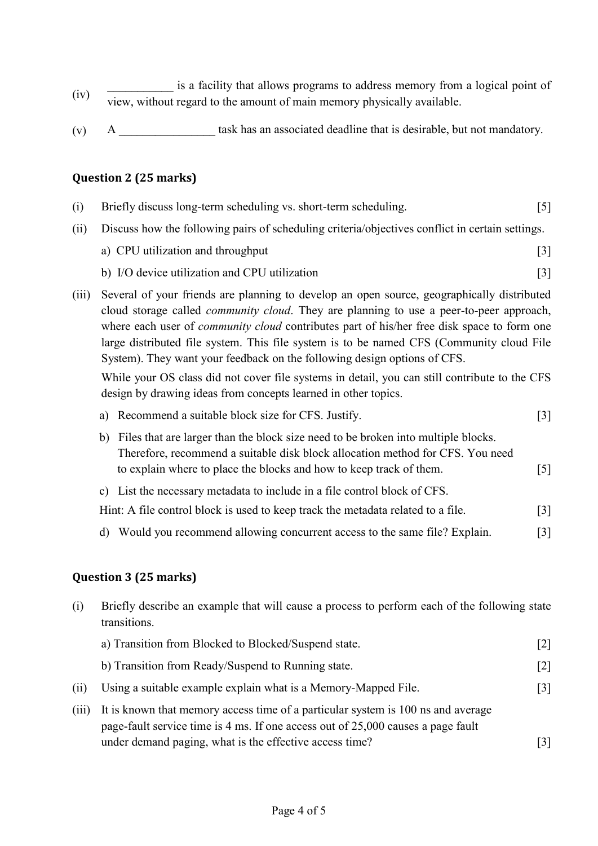- (iv) is a facility that allows programs to address memory from a logical point of view, without regard to the amount of main memory physically available.
- $(v)$  A \_\_\_\_\_\_\_\_\_\_\_\_\_\_\_\_\_\_\_\_ task has an associated deadline that is desirable, but not mandatory.

(i) Briefly discuss long-term scheduling vs. short-term scheduling. [5]

### **Question 2 (25 marks)**

| (ii)  | Discuss how the following pairs of scheduling criteria/objectives conflict in certain settings.                                                                                                                                                                                                                                                                                                                                                                            |                   |  |
|-------|----------------------------------------------------------------------------------------------------------------------------------------------------------------------------------------------------------------------------------------------------------------------------------------------------------------------------------------------------------------------------------------------------------------------------------------------------------------------------|-------------------|--|
|       | a) CPU utilization and throughput                                                                                                                                                                                                                                                                                                                                                                                                                                          | $\lceil 3 \rceil$ |  |
|       | b) I/O device utilization and CPU utilization                                                                                                                                                                                                                                                                                                                                                                                                                              | $\lceil 3 \rceil$ |  |
| (iii) | Several of your friends are planning to develop an open source, geographically distributed<br>cloud storage called <i>community cloud</i> . They are planning to use a peer-to-peer approach,<br>where each user of <i>community cloud</i> contributes part of his/her free disk space to form one<br>large distributed file system. This file system is to be named CFS (Community cloud File<br>System). They want your feedback on the following design options of CFS. |                   |  |
|       | While your OS class did not cover file systems in detail, you can still contribute to the CFS<br>design by drawing ideas from concepts learned in other topics.                                                                                                                                                                                                                                                                                                            |                   |  |
|       | a) Recommend a suitable block size for CFS. Justify.                                                                                                                                                                                                                                                                                                                                                                                                                       | $\lceil 3 \rceil$ |  |
|       | Files that are larger than the block size need to be broken into multiple blocks.<br>b)                                                                                                                                                                                                                                                                                                                                                                                    |                   |  |

- Therefore, recommend a suitable disk block allocation method for CFS. You need to explain where to place the blocks and how to keep track of them. [5]
- c) List the necessary metadata to include in a file control block of CFS.

| Hint: A file control block is used to keep track the metadata related to a file. | $[3]$ |  |
|----------------------------------------------------------------------------------|-------|--|
|----------------------------------------------------------------------------------|-------|--|

d) Would you recommend allowing concurrent access to the same file? Explain. [3]

#### **Question 3 (25 marks)**

(i) Briefly describe an example that will cause a process to perform each of the following state transitions. a) Transition from Blocked to Blocked/Suspend state. [2] b) Transition from Ready/Suspend to Running state. [2] (ii) Using a suitable example explain what is a Memory-Mapped File. [3] (iii) It is known that memory access time of a particular system is 100 ns and average page-fault service time is 4 ms. If one access out of 25,000 causes a page fault under demand paging, what is the effective access time? [3]